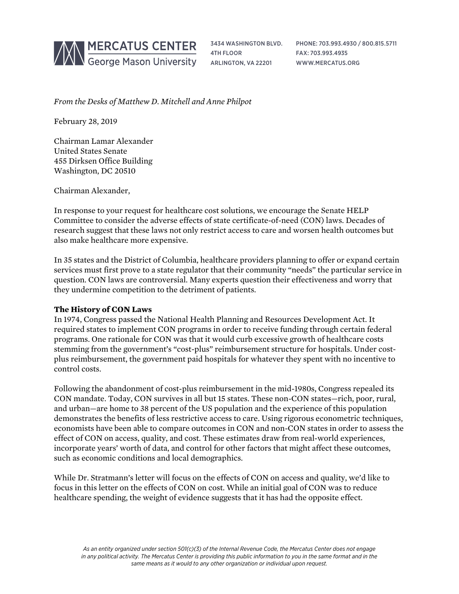

3434 WASHINGTON BLVD. 4TH FLOOR ARLINGTON, VA 22201

PHONE: 703.993.4930 / 800.815.5711 FAX: 703.993.4935 WWW.MERCATUS.ORG

*From the Desks of Matthew D. Mitchell and Anne Philpot*

February 28, 2019

Chairman Lamar Alexander United States Senate 455 Dirksen Office Building Washington, DC 20510

Chairman Alexander,

In response to your request for healthcare cost solutions, we encourage the Senate HELP Committee to consider the adverse effects of state certificate-of-need (CON) laws. Decades of research suggest that these laws not only restrict access to care and worsen health outcomes but also make healthcare more expensive.

In 35 states and the District of Columbia, healthcare providers planning to offer or expand certain services must first prove to a state regulator that their community "needs" the particular service in question. CON laws are controversial. Many experts question their effectiveness and worry that they undermine competition to the detriment of patients.

# **The History of CON Laws**

In 1974, Congress passed the National Health Planning and Resources Development Act. It required states to implement CON programs in order to receive funding through certain federal programs. One rationale for CON was that it would curb excessive growth of healthcare costs stemming from the government's "cost-plus" reimbursement structure for hospitals. Under costplus reimbursement, the government paid hospitals for whatever they spent with no incentive to control costs.

Following the abandonment of cost-plus reimbursement in the mid-1980s, Congress repealed its CON mandate. Today, CON survives in all but 15 states. These non-CON states—rich, poor, rural, and urban—are home to 38 percent of the US population and the experience of this population demonstrates the benefits of less restrictive access to care. Using rigorous econometric techniques, economists have been able to compare outcomes in CON and non-CON states in order to assess the effect of CON on access, quality, and cost. These estimates draw from real-world experiences, incorporate years' worth of data, and control for other factors that might affect these outcomes, such as economic conditions and local demographics.

While Dr. Stratmann's letter will focus on the effects of CON on access and quality, we'd like to focus in this letter on the effects of CON on cost. While an initial goal of CON was to reduce healthcare spending, the weight of evidence suggests that it has had the opposite effect.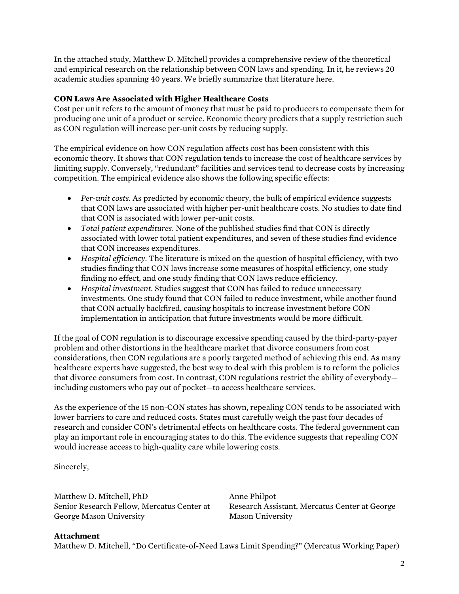In the attached study, Matthew D. Mitchell provides a comprehensive review of the theoretical and empirical research on the relationship between CON laws and spending. In it, he reviews 20 academic studies spanning 40 years. We briefly summarize that literature here.

# **CON Laws Are Associated with Higher Healthcare Costs**

Cost per unit refers to the amount of money that must be paid to producers to compensate them for producing one unit of a product or service. Economic theory predicts that a supply restriction such as CON regulation will increase per-unit costs by reducing supply.

The empirical evidence on how CON regulation affects cost has been consistent with this economic theory. It shows that CON regulation tends to increase the cost of healthcare services by limiting supply. Conversely, "redundant" facilities and services tend to decrease costs by increasing competition. The empirical evidence also shows the following specific effects:

- *Per-unit costs.* As predicted by economic theory, the bulk of empirical evidence suggests that CON laws are associated with higher per-unit healthcare costs. No studies to date find that CON is associated with lower per-unit costs.
- *Total patient expenditures.* None of the published studies find that CON is directly associated with lower total patient expenditures, and seven of these studies find evidence that CON increases expenditures.
- *Hospital efficiency.* The literature is mixed on the question of hospital efficiency, with two studies finding that CON laws increase some measures of hospital efficiency, one study finding no effect, and one study finding that CON laws reduce efficiency.
- *Hospital investment.* Studies suggest that CON has failed to reduce unnecessary investments. One study found that CON failed to reduce investment, while another found that CON actually backfired, causing hospitals to increase investment before CON implementation in anticipation that future investments would be more difficult.

If the goal of CON regulation is to discourage excessive spending caused by the third-party-payer problem and other distortions in the healthcare market that divorce consumers from cost considerations, then CON regulations are a poorly targeted method of achieving this end. As many healthcare experts have suggested, the best way to deal with this problem is to reform the policies that divorce consumers from cost. In contrast, CON regulations restrict the ability of everybody including customers who pay out of pocket—to access healthcare services.

As the experience of the 15 non-CON states has shown, repealing CON tends to be associated with lower barriers to care and reduced costs. States must carefully weigh the past four decades of research and consider CON's detrimental effects on healthcare costs. The federal government can play an important role in encouraging states to do this. The evidence suggests that repealing CON would increase access to high-quality care while lowering costs.

Sincerely,

Matthew D. Mitchell, PhD Senior Research Fellow, Mercatus Center at George Mason University

Anne Philpot Research Assistant, Mercatus Center at George Mason University

#### **Attachment**

Matthew D. Mitchell, "Do Certificate-of-Need Laws Limit Spending?" (Mercatus Working Paper)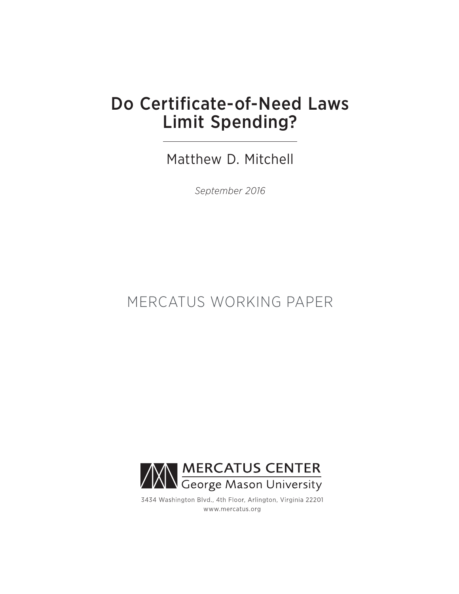# Do Certificate-of-Need Laws Limit Spending?

Matthew D. Mitchell

*September 2016*

# MERCATUS WORKING PAPER



3434 Washington Blvd., 4th Floor, Arlington, Virginia 22201 www.mercatus.org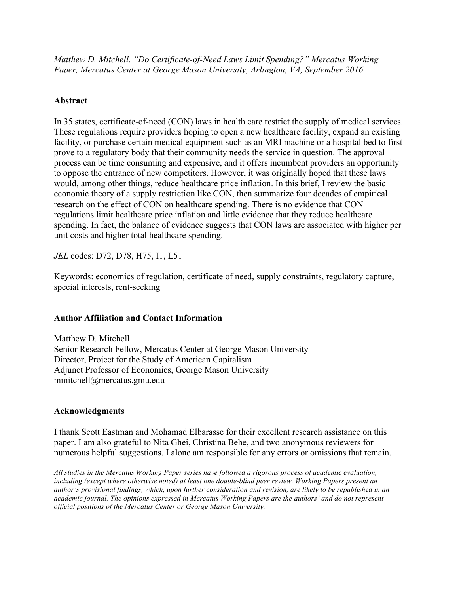*Matthew D. Mitchell. "Do Certificate-of-Need Laws Limit Spending?" Mercatus Working Paper, Mercatus Center at George Mason University, Arlington, VA, September 2016.*

# **Abstract**

In 35 states, certificate-of-need (CON) laws in health care restrict the supply of medical services. These regulations require providers hoping to open a new healthcare facility, expand an existing facility, or purchase certain medical equipment such as an MRI machine or a hospital bed to first prove to a regulatory body that their community needs the service in question. The approval process can be time consuming and expensive, and it offers incumbent providers an opportunity to oppose the entrance of new competitors. However, it was originally hoped that these laws would, among other things, reduce healthcare price inflation. In this brief, I review the basic economic theory of a supply restriction like CON, then summarize four decades of empirical research on the effect of CON on healthcare spending. There is no evidence that CON regulations limit healthcare price inflation and little evidence that they reduce healthcare spending. In fact, the balance of evidence suggests that CON laws are associated with higher per unit costs and higher total healthcare spending.

*JEL* codes: D72, D78, H75, I1, L51

Keywords: economics of regulation, certificate of need, supply constraints, regulatory capture, special interests, rent-seeking

# **Author Affiliation and Contact Information**

Matthew D. Mitchell Senior Research Fellow, Mercatus Center at George Mason University Director, Project for the Study of American Capitalism Adjunct Professor of Economics, George Mason University mmitchell@mercatus.gmu.edu

# **Acknowledgments**

I thank Scott Eastman and Mohamad Elbarasse for their excellent research assistance on this paper. I am also grateful to Nita Ghei, Christina Behe, and two anonymous reviewers for numerous helpful suggestions. I alone am responsible for any errors or omissions that remain.

*All studies in the Mercatus Working Paper series have followed a rigorous process of academic evaluation, including (except where otherwise noted) at least one double-blind peer review. Working Papers present an author's provisional findings, which, upon further consideration and revision, are likely to be republished in an academic journal. The opinions expressed in Mercatus Working Papers are the authors' and do not represent official positions of the Mercatus Center or George Mason University.*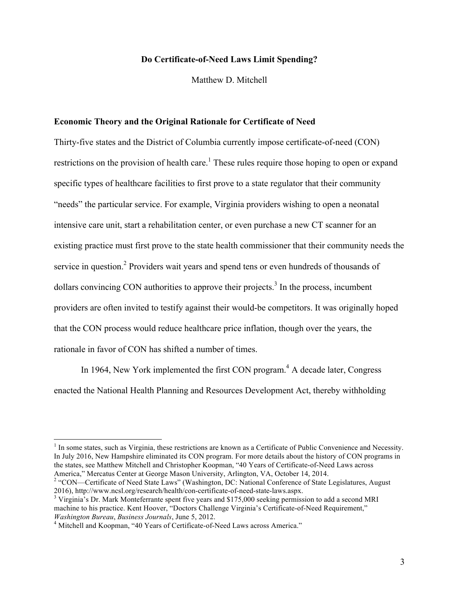### **Do Certificate-of-Need Laws Limit Spending?**

Matthew D. Mitchell

#### **Economic Theory and the Original Rationale for Certificate of Need**

Thirty-five states and the District of Columbia currently impose certificate-of-need (CON) restrictions on the provision of health care.<sup>1</sup> These rules require those hoping to open or expand specific types of healthcare facilities to first prove to a state regulator that their community "needs" the particular service. For example, Virginia providers wishing to open a neonatal intensive care unit, start a rehabilitation center, or even purchase a new CT scanner for an existing practice must first prove to the state health commissioner that their community needs the service in question.<sup>2</sup> Providers wait years and spend tens or even hundreds of thousands of dollars convincing CON authorities to approve their projects.<sup>3</sup> In the process, incumbent providers are often invited to testify against their would-be competitors. It was originally hoped that the CON process would reduce healthcare price inflation, though over the years, the rationale in favor of CON has shifted a number of times.

In 1964, New York implemented the first CON program.<sup>4</sup> A decade later, Congress enacted the National Health Planning and Resources Development Act, thereby withholding

 $<sup>1</sup>$  In some states, such as Virginia, these restrictions are known as a Certificate of Public Convenience and Necessity.</sup> In July 2016, New Hampshire eliminated its CON program. For more details about the history of CON programs in the states, see Matthew Mitchell and Christopher Koopman, "40 Years of Certificate-of-Need Laws across America," Mercatus Center at George Mason University, Arlington, VA, October 14, 2014.

<sup>&</sup>lt;sup>2</sup> "CON—Certificate of Need State Laws" (Washington, DC: National Conference of State Legislatures, August 2016), http://www.ncsl.org/research/health/con-certificate-of-need-state-laws.aspx.

 $3$  Virginia's Dr. Mark Monteferrante spent five years and \$175,000 seeking permission to add a second MRI machine to his practice. Kent Hoover, "Doctors Challenge Virginia's Certificate-of-Need Requirement," *Washington Bureau*, *Business Journals*, June 5, 2012. 4 Mitchell and Koopman, "40 Years of Certificate-of-Need Laws across America."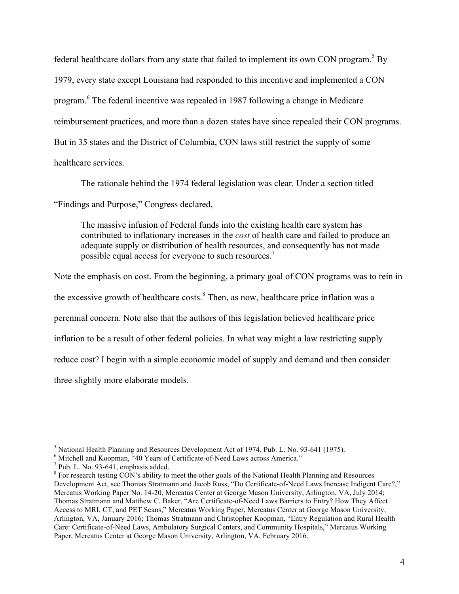federal healthcare dollars from any state that failed to implement its own CON program.<sup>5</sup> By 1979, every state except Louisiana had responded to this incentive and implemented a CON program. <sup>6</sup> The federal incentive was repealed in 1987 following a change in Medicare reimbursement practices, and more than a dozen states have since repealed their CON programs. But in 35 states and the District of Columbia, CON laws still restrict the supply of some healthcare services.

The rationale behind the 1974 federal legislation was clear. Under a section titled "Findings and Purpose," Congress declared,

The massive infusion of Federal funds into the existing health care system has contributed to inflationary increases in the *cost* of health care and failed to produce an adequate supply or distribution of health resources, and consequently has not made possible equal access for everyone to such resources.<sup>7</sup>

Note the emphasis on cost. From the beginning, a primary goal of CON programs was to rein in the excessive growth of healthcare costs. $8$  Then, as now, healthcare price inflation was a perennial concern. Note also that the authors of this legislation believed healthcare price inflation to be a result of other federal policies. In what way might a law restricting supply reduce cost? I begin with a simple economic model of supply and demand and then consider three slightly more elaborate models.

<sup>&</sup>lt;sup>5</sup> National Health Planning and Resources Development Act of 1974, Pub. L. No. 93-641 (1975).<br><sup>6</sup> Mitchell and Koopman, "40 Years of Certificate-of-Need Laws across America."<br><sup>7</sup> Pub. L. No. 93-641, emphasis added.<br><sup>8</sup> F

Development Act, see Thomas Stratmann and Jacob Russ, "Do Certificate-of-Need Laws Increase Indigent Care?," Mercatus Working Paper No. 14-20, Mercatus Center at George Mason University, Arlington, VA, July 2014; Thomas Stratmann and Matthew C. Baker, "Are Certificate-of-Need Laws Barriers to Entry? How They Affect Access to MRI, CT, and PET Scans," Mercatus Working Paper, Mercatus Center at George Mason University, Arlington, VA, January 2016; Thomas Stratmann and Christopher Koopman, "Entry Regulation and Rural Health Care: Certificate-of-Need Laws, Ambulatory Surgical Centers, and Community Hospitals," Mercatus Working Paper, Mercatus Center at George Mason University, Arlington, VA, February 2016.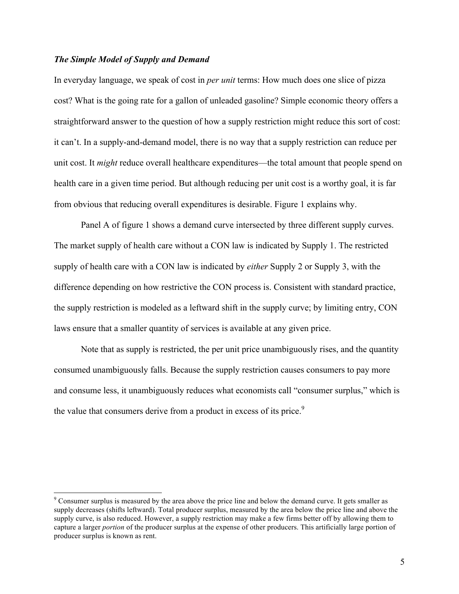### *The Simple Model of Supply and Demand*

In everyday language, we speak of cost in *per unit* terms: How much does one slice of pizza cost? What is the going rate for a gallon of unleaded gasoline? Simple economic theory offers a straightforward answer to the question of how a supply restriction might reduce this sort of cost: it can't. In a supply-and-demand model, there is no way that a supply restriction can reduce per unit cost. It *might* reduce overall healthcare expenditures—the total amount that people spend on health care in a given time period. But although reducing per unit cost is a worthy goal, it is far from obvious that reducing overall expenditures is desirable. Figure 1 explains why.

Panel A of figure 1 shows a demand curve intersected by three different supply curves. The market supply of health care without a CON law is indicated by Supply 1. The restricted supply of health care with a CON law is indicated by *either* Supply 2 or Supply 3, with the difference depending on how restrictive the CON process is. Consistent with standard practice, the supply restriction is modeled as a leftward shift in the supply curve; by limiting entry, CON laws ensure that a smaller quantity of services is available at any given price.

Note that as supply is restricted, the per unit price unambiguously rises, and the quantity consumed unambiguously falls. Because the supply restriction causes consumers to pay more and consume less, it unambiguously reduces what economists call "consumer surplus," which is the value that consumers derive from a product in excess of its price.<sup>9</sup>

<sup>&</sup>lt;sup>9</sup> Consumer surplus is measured by the area above the price line and below the demand curve. It gets smaller as supply decreases (shifts leftward). Total producer surplus, measured by the area below the price line and above the supply curve, is also reduced. However, a supply restriction may make a few firms better off by allowing them to capture a larger *portion* of the producer surplus at the expense of other producers. This artificially large portion of producer surplus is known as rent.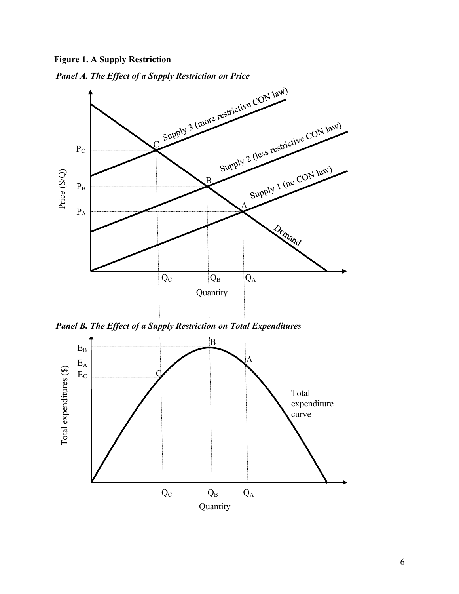**Figure 1. A Supply Restriction**

*Panel A. The Effect of a Supply Restriction on Price*



*Panel B. The Effect of a Supply Restriction on Total Expenditures*

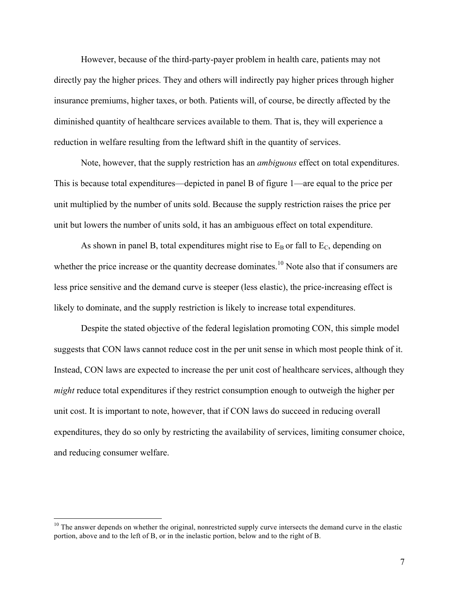However, because of the third-party-payer problem in health care, patients may not directly pay the higher prices. They and others will indirectly pay higher prices through higher insurance premiums, higher taxes, or both. Patients will, of course, be directly affected by the diminished quantity of healthcare services available to them. That is, they will experience a reduction in welfare resulting from the leftward shift in the quantity of services.

Note, however, that the supply restriction has an *ambiguous* effect on total expenditures. This is because total expenditures—depicted in panel B of figure 1—are equal to the price per unit multiplied by the number of units sold. Because the supply restriction raises the price per unit but lowers the number of units sold, it has an ambiguous effect on total expenditure.

As shown in panel B, total expenditures might rise to  $E_B$  or fall to  $E_C$ , depending on whether the price increase or the quantity decrease dominates.<sup>10</sup> Note also that if consumers are less price sensitive and the demand curve is steeper (less elastic), the price-increasing effect is likely to dominate, and the supply restriction is likely to increase total expenditures.

Despite the stated objective of the federal legislation promoting CON, this simple model suggests that CON laws cannot reduce cost in the per unit sense in which most people think of it. Instead, CON laws are expected to increase the per unit cost of healthcare services, although they *might* reduce total expenditures if they restrict consumption enough to outweigh the higher per unit cost. It is important to note, however, that if CON laws do succeed in reducing overall expenditures, they do so only by restricting the availability of services, limiting consumer choice, and reducing consumer welfare.

 $10$  The answer depends on whether the original, nonrestricted supply curve intersects the demand curve in the elastic portion, above and to the left of B, or in the inelastic portion, below and to the right of B.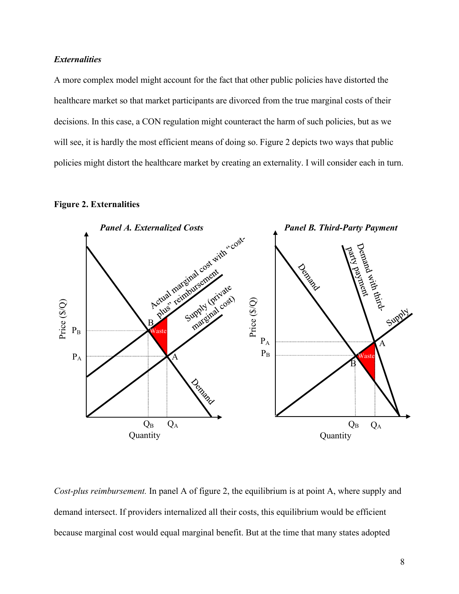# *Externalities*

A more complex model might account for the fact that other public policies have distorted the healthcare market so that market participants are divorced from the true marginal costs of their decisions. In this case, a CON regulation might counteract the harm of such policies, but as we will see, it is hardly the most efficient means of doing so. Figure 2 depicts two ways that public policies might distort the healthcare market by creating an externality. I will consider each in turn.

# **Figure 2. Externalities**



*Cost-plus reimbursement.* In panel A of figure 2, the equilibrium is at point A, where supply and demand intersect. If providers internalized all their costs, this equilibrium would be efficient because marginal cost would equal marginal benefit. But at the time that many states adopted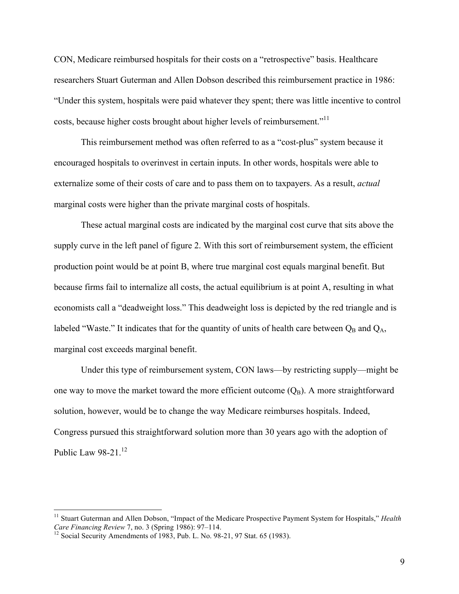CON, Medicare reimbursed hospitals for their costs on a "retrospective" basis. Healthcare researchers Stuart Guterman and Allen Dobson described this reimbursement practice in 1986: "Under this system, hospitals were paid whatever they spent; there was little incentive to control costs, because higher costs brought about higher levels of reimbursement."<sup>11</sup>

This reimbursement method was often referred to as a "cost-plus" system because it encouraged hospitals to overinvest in certain inputs. In other words, hospitals were able to externalize some of their costs of care and to pass them on to taxpayers. As a result, *actual* marginal costs were higher than the private marginal costs of hospitals.

These actual marginal costs are indicated by the marginal cost curve that sits above the supply curve in the left panel of figure 2. With this sort of reimbursement system, the efficient production point would be at point B, where true marginal cost equals marginal benefit. But because firms fail to internalize all costs, the actual equilibrium is at point A, resulting in what economists call a "deadweight loss." This deadweight loss is depicted by the red triangle and is labeled "Waste." It indicates that for the quantity of units of health care between  $Q_B$  and  $Q_A$ , marginal cost exceeds marginal benefit.

Under this type of reimbursement system, CON laws—by restricting supply—might be one way to move the market toward the more efficient outcome  $(Q_B)$ . A more straightforward solution, however, would be to change the way Medicare reimburses hospitals. Indeed, Congress pursued this straightforward solution more than 30 years ago with the adoption of Public Law  $98-21$ .<sup>12</sup>

<sup>&</sup>lt;sup>11</sup> Stuart Guterman and Allen Dobson, "Impact of the Medicare Prospective Payment System for Hospitals," *Health Care Financing Review* 7, no. 3 (Spring 1986): 97–114.

<sup>&</sup>lt;sup>12</sup> Social Security Amendments of 1983, Pub. L. No. 98-21, 97 Stat. 65 (1983).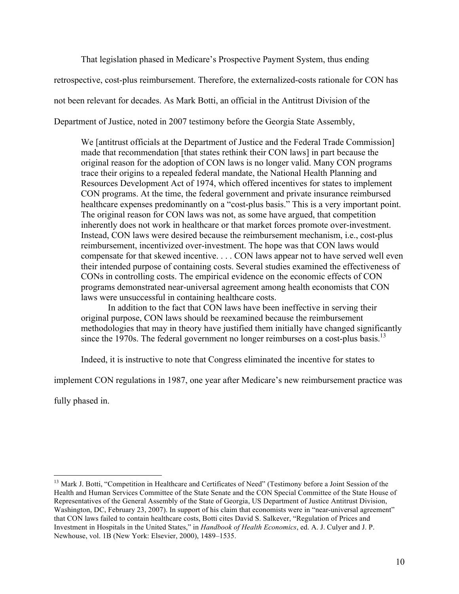That legislation phased in Medicare's Prospective Payment System, thus ending retrospective, cost-plus reimbursement. Therefore, the externalized-costs rationale for CON has not been relevant for decades. As Mark Botti, an official in the Antitrust Division of the Department of Justice, noted in 2007 testimony before the Georgia State Assembly,

We [antitrust officials at the Department of Justice and the Federal Trade Commission] made that recommendation [that states rethink their CON laws] in part because the original reason for the adoption of CON laws is no longer valid. Many CON programs trace their origins to a repealed federal mandate, the National Health Planning and Resources Development Act of 1974, which offered incentives for states to implement CON programs. At the time, the federal government and private insurance reimbursed healthcare expenses predominantly on a "cost-plus basis." This is a very important point. The original reason for CON laws was not, as some have argued, that competition inherently does not work in healthcare or that market forces promote over-investment. Instead, CON laws were desired because the reimbursement mechanism, i.e., cost-plus reimbursement, incentivized over-investment. The hope was that CON laws would compensate for that skewed incentive. . . . CON laws appear not to have served well even their intended purpose of containing costs. Several studies examined the effectiveness of CONs in controlling costs. The empirical evidence on the economic effects of CON programs demonstrated near-universal agreement among health economists that CON laws were unsuccessful in containing healthcare costs.

In addition to the fact that CON laws have been ineffective in serving their original purpose, CON laws should be reexamined because the reimbursement methodologies that may in theory have justified them initially have changed significantly since the 1970s. The federal government no longer reimburses on a cost-plus basis.<sup>13</sup>

Indeed, it is instructive to note that Congress eliminated the incentive for states to

implement CON regulations in 1987, one year after Medicare's new reimbursement practice was

fully phased in.

<sup>&</sup>lt;sup>13</sup> Mark J. Botti, "Competition in Healthcare and Certificates of Need" (Testimony before a Joint Session of the Health and Human Services Committee of the State Senate and the CON Special Committee of the State House of Representatives of the General Assembly of the State of Georgia, US Department of Justice Antitrust Division, Washington, DC, February 23, 2007). In support of his claim that economists were in "near-universal agreement" that CON laws failed to contain healthcare costs, Botti cites David S. Salkever, "Regulation of Prices and Investment in Hospitals in the United States," in *Handbook of Health Economics*, ed. A. J. Culyer and J. P. Newhouse, vol. 1B (New York: Elsevier, 2000), 1489–1535.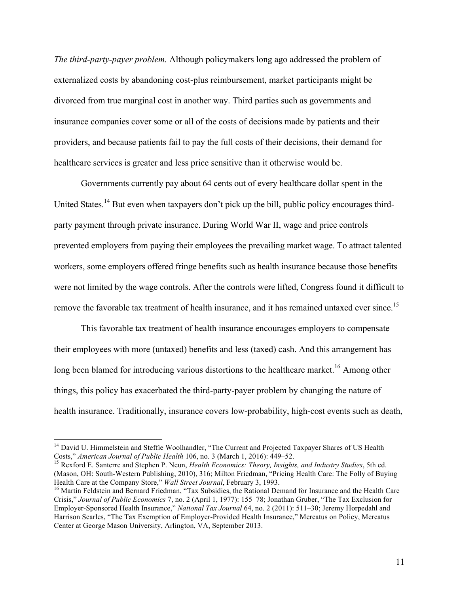*The third-party-payer problem.* Although policymakers long ago addressed the problem of externalized costs by abandoning cost-plus reimbursement, market participants might be divorced from true marginal cost in another way. Third parties such as governments and insurance companies cover some or all of the costs of decisions made by patients and their providers, and because patients fail to pay the full costs of their decisions, their demand for healthcare services is greater and less price sensitive than it otherwise would be.

Governments currently pay about 64 cents out of every healthcare dollar spent in the United States.<sup>14</sup> But even when taxpayers don't pick up the bill, public policy encourages thirdparty payment through private insurance. During World War II, wage and price controls prevented employers from paying their employees the prevailing market wage. To attract talented workers, some employers offered fringe benefits such as health insurance because those benefits were not limited by the wage controls. After the controls were lifted, Congress found it difficult to remove the favorable tax treatment of health insurance, and it has remained untaxed ever since.<sup>15</sup>

This favorable tax treatment of health insurance encourages employers to compensate their employees with more (untaxed) benefits and less (taxed) cash. And this arrangement has long been blamed for introducing various distortions to the healthcare market.<sup>16</sup> Among other things, this policy has exacerbated the third-party-payer problem by changing the nature of health insurance. Traditionally, insurance covers low-probability, high-cost events such as death,

<sup>&</sup>lt;sup>14</sup> David U. Himmelstein and Steffie Woolhandler, "The Current and Projected Taxpayer Shares of US Health Costs," *American Journal of Public Health* 106, no. 3 (March 1, 2016): 449–52.

<sup>&</sup>lt;sup>15</sup> Rexford E. Santerre and Stephen P. Neun, *Health Economics: Theory, Insights, and Industry Studies*, 5th ed. (Mason, OH: South-Western Publishing, 2010), 316; Milton Friedman, "Pricing Health Care: The Folly of Buying Health Care at the Company Store," *Wall Street Journal*, February 3, 1993.<br><sup>16</sup> Martin Feldstein and Bernard Friedman, "Tax Subsidies, the Rational Demand for Insurance and the Health Care

Crisis," *Journal of Public Economics* 7, no. 2 (April 1, 1977): 155–78; Jonathan Gruber, "The Tax Exclusion for Employer-Sponsored Health Insurance," *National Tax Journal* 64, no. 2 (2011): 511–30; Jeremy Horpedahl and Harrison Searles, "The Tax Exemption of Employer-Provided Health Insurance," Mercatus on Policy, Mercatus Center at George Mason University, Arlington, VA, September 2013.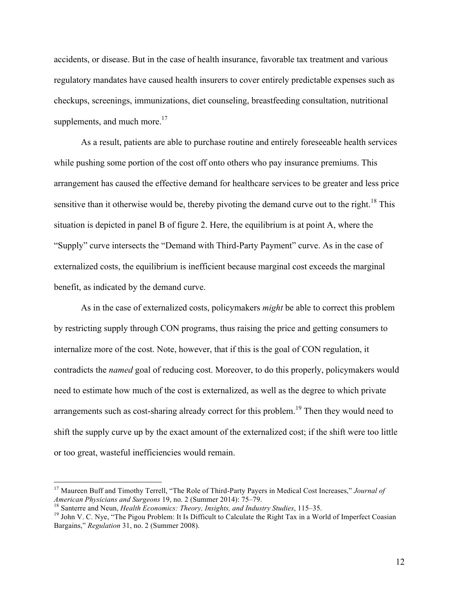accidents, or disease. But in the case of health insurance, favorable tax treatment and various regulatory mandates have caused health insurers to cover entirely predictable expenses such as checkups, screenings, immunizations, diet counseling, breastfeeding consultation, nutritional supplements, and much more. $17$ 

As a result, patients are able to purchase routine and entirely foreseeable health services while pushing some portion of the cost off onto others who pay insurance premiums. This arrangement has caused the effective demand for healthcare services to be greater and less price sensitive than it otherwise would be, thereby pivoting the demand curve out to the right.<sup>18</sup> This situation is depicted in panel B of figure 2. Here, the equilibrium is at point A, where the "Supply" curve intersects the "Demand with Third-Party Payment" curve. As in the case of externalized costs, the equilibrium is inefficient because marginal cost exceeds the marginal benefit, as indicated by the demand curve.

As in the case of externalized costs, policymakers *might* be able to correct this problem by restricting supply through CON programs, thus raising the price and getting consumers to internalize more of the cost. Note, however, that if this is the goal of CON regulation, it contradicts the *named* goal of reducing cost. Moreover, to do this properly, policymakers would need to estimate how much of the cost is externalized, as well as the degree to which private arrangements such as cost-sharing already correct for this problem.<sup>19</sup> Then they would need to shift the supply curve up by the exact amount of the externalized cost; if the shift were too little or too great, wasteful inefficiencies would remain.

<sup>&</sup>lt;sup>17</sup> Maureen Buff and Timothy Terrell, "The Role of Third-Party Payers in Medical Cost Increases," *Journal of American Physicians and Surgeons* 19, no. 2 (Summer 2014): 75–79.

<sup>&</sup>lt;sup>18</sup> Santerre and Neun, *Health Economics: Theory, Insights, and Industry Studies*, 115–35.<br><sup>19</sup> John V. C. Nye, "The Pigou Problem: It Is Difficult to Calculate the Right Tax in a World of Imperfect Coasian Bargains," *Regulation* 31, no. 2 (Summer 2008).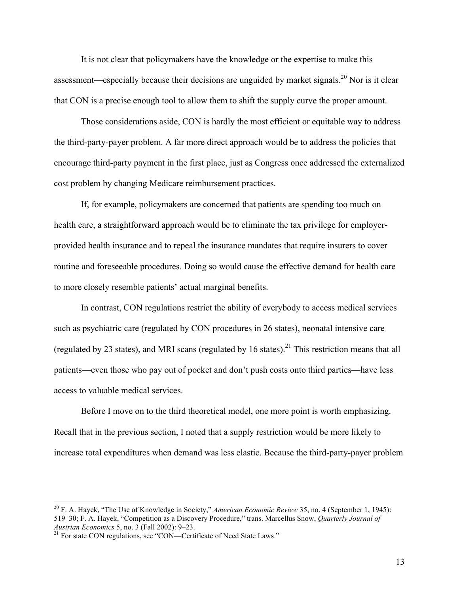It is not clear that policymakers have the knowledge or the expertise to make this assessment—especially because their decisions are unguided by market signals.<sup>20</sup> Nor is it clear that CON is a precise enough tool to allow them to shift the supply curve the proper amount.

Those considerations aside, CON is hardly the most efficient or equitable way to address the third-party-payer problem. A far more direct approach would be to address the policies that encourage third-party payment in the first place, just as Congress once addressed the externalized cost problem by changing Medicare reimbursement practices.

If, for example, policymakers are concerned that patients are spending too much on health care, a straightforward approach would be to eliminate the tax privilege for employerprovided health insurance and to repeal the insurance mandates that require insurers to cover routine and foreseeable procedures. Doing so would cause the effective demand for health care to more closely resemble patients' actual marginal benefits.

In contrast, CON regulations restrict the ability of everybody to access medical services such as psychiatric care (regulated by CON procedures in 26 states), neonatal intensive care (regulated by 23 states), and MRI scans (regulated by 16 states).<sup>21</sup> This restriction means that all patients—even those who pay out of pocket and don't push costs onto third parties—have less access to valuable medical services.

Before I move on to the third theoretical model, one more point is worth emphasizing. Recall that in the previous section, I noted that a supply restriction would be more likely to increase total expenditures when demand was less elastic. Because the third-party-payer problem

 <sup>20</sup> F. A. Hayek, "The Use of Knowledge in Society," *American Economic Review* 35, no. 4 (September 1, 1945): 519–30; F. A. Hayek, "Competition as a Discovery Procedure," trans. Marcellus Snow, *Quarterly Journal of* 

<sup>&</sup>lt;sup>21</sup> For state CON regulations, see "CON—Certificate of Need State Laws."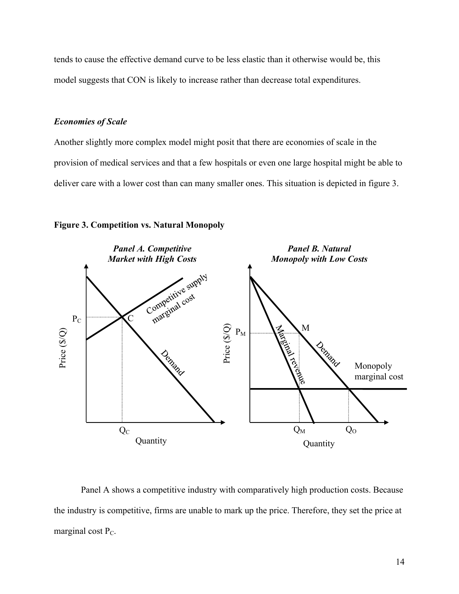tends to cause the effective demand curve to be less elastic than it otherwise would be, this model suggests that CON is likely to increase rather than decrease total expenditures.

#### *Economies of Scale*

Another slightly more complex model might posit that there are economies of scale in the provision of medical services and that a few hospitals or even one large hospital might be able to deliver care with a lower cost than can many smaller ones. This situation is depicted in figure 3.





Panel A shows a competitive industry with comparatively high production costs. Because the industry is competitive, firms are unable to mark up the price. Therefore, they set the price at marginal cost  $P_C$ .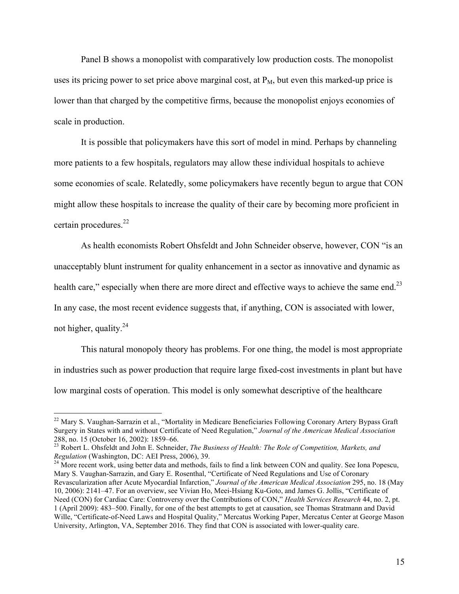Panel B shows a monopolist with comparatively low production costs. The monopolist uses its pricing power to set price above marginal cost, at  $P_M$ , but even this marked-up price is lower than that charged by the competitive firms, because the monopolist enjoys economies of scale in production.

It is possible that policymakers have this sort of model in mind. Perhaps by channeling more patients to a few hospitals, regulators may allow these individual hospitals to achieve some economies of scale. Relatedly, some policymakers have recently begun to argue that CON might allow these hospitals to increase the quality of their care by becoming more proficient in certain procedures.<sup>22</sup>

As health economists Robert Ohsfeldt and John Schneider observe, however, CON "is an unacceptably blunt instrument for quality enhancement in a sector as innovative and dynamic as health care," especially when there are more direct and effective ways to achieve the same end.<sup>23</sup> In any case, the most recent evidence suggests that, if anything, CON is associated with lower, not higher, quality. $^{24}$ 

This natural monopoly theory has problems. For one thing, the model is most appropriate in industries such as power production that require large fixed-cost investments in plant but have low marginal costs of operation. This model is only somewhat descriptive of the healthcare

<sup>&</sup>lt;sup>22</sup> Mary S. Vaughan-Sarrazin et al., "Mortality in Medicare Beneficiaries Following Coronary Artery Bypass Graft Surgery in States with and without Certificate of Need Regulation," *Journal of the American Medical Association* 288, no. 15 (October 16, 2002): 1859–66.<br><sup>23</sup> Robert L. Ohsfeldt and John E. Schneider, *The Business of Health: The Role of Competition, Markets, and* <sup>23</sup>

*Regulation* (Washington, DC: AEI Press, 2006), 39.<br><sup>24</sup> More recent work, using better data and methods, fails to find a link between CON and quality. See Iona Popescu,

Mary S. Vaughan-Sarrazin, and Gary E. Rosenthal, "Certificate of Need Regulations and Use of Coronary Revascularization after Acute Myocardial Infarction," *Journal of the American Medical Association* 295, no. 18 (May 10, 2006): 2141–47. For an overview, see Vivian Ho, Meei-Hsiang Ku-Goto, and James G. Jollis, "Certificate of Need (CON) for Cardiac Care: Controversy over the Contributions of CON," *Health Services Research* 44, no. 2, pt. 1 (April 2009): 483–500. Finally, for one of the best attempts to get at causation, see Thomas Stratmann and David Wille, "Certificate-of-Need Laws and Hospital Quality," Mercatus Working Paper, Mercatus Center at George Mason University, Arlington, VA, September 2016. They find that CON is associated with lower-quality care.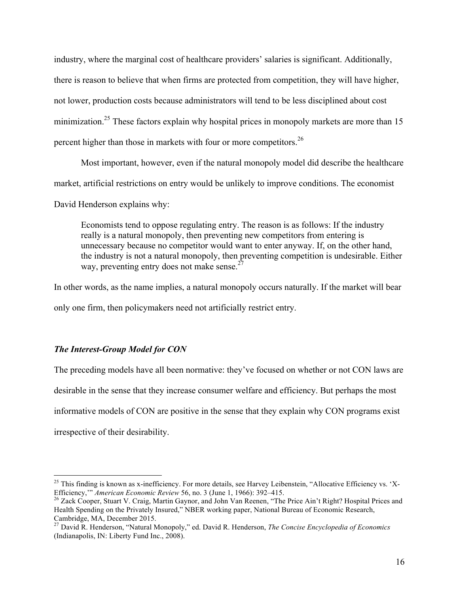industry, where the marginal cost of healthcare providers' salaries is significant. Additionally, there is reason to believe that when firms are protected from competition, they will have higher, not lower, production costs because administrators will tend to be less disciplined about cost minimization.<sup>25</sup> These factors explain why hospital prices in monopoly markets are more than 15 percent higher than those in markets with four or more competitors.<sup>26</sup>

Most important, however, even if the natural monopoly model did describe the healthcare market, artificial restrictions on entry would be unlikely to improve conditions. The economist David Henderson explains why:

Economists tend to oppose regulating entry. The reason is as follows: If the industry really is a natural monopoly, then preventing new competitors from entering is unnecessary because no competitor would want to enter anyway. If, on the other hand, the industry is not a natural monopoly, then preventing competition is undesirable. Either way, preventing entry does not make sense.<sup> $27$ </sup>

In other words, as the name implies, a natural monopoly occurs naturally. If the market will bear only one firm, then policymakers need not artificially restrict entry.

# *The Interest-Group Model for CON*

The preceding models have all been normative: they've focused on whether or not CON laws are desirable in the sense that they increase consumer welfare and efficiency. But perhaps the most informative models of CON are positive in the sense that they explain why CON programs exist irrespective of their desirability.

<sup>&</sup>lt;sup>25</sup> This finding is known as x-inefficiency. For more details, see Harvey Leibenstein, "Allocative Efficiency vs. 'X-<br>Efficiency," American Economic Review 56, no. 3 (June 1, 1966): 392–415.

<sup>&</sup>lt;sup>26</sup> Zack Cooper, Stuart V. Craig, Martin Gaynor, and John Van Reenen, "The Price Ain't Right? Hospital Prices and Health Spending on the Privately Insured," NBER working paper, National Bureau of Economic Research, Cambridge, MA, December 2015.

<sup>27</sup> David R. Henderson, "Natural Monopoly," ed. David R. Henderson, *The Concise Encyclopedia of Economics* (Indianapolis, IN: Liberty Fund Inc., 2008).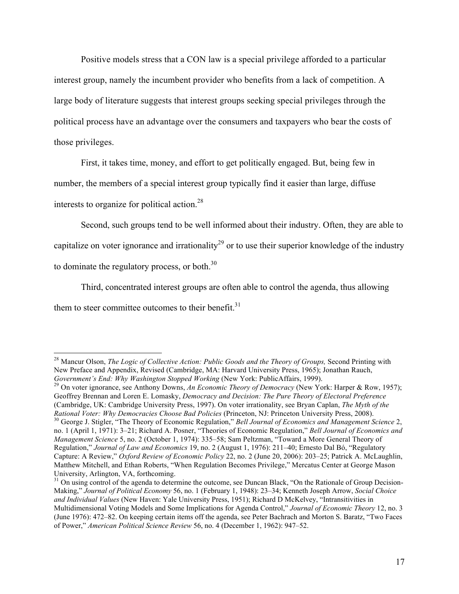Positive models stress that a CON law is a special privilege afforded to a particular interest group, namely the incumbent provider who benefits from a lack of competition. A large body of literature suggests that interest groups seeking special privileges through the political process have an advantage over the consumers and taxpayers who bear the costs of those privileges.

First, it takes time, money, and effort to get politically engaged. But, being few in number, the members of a special interest group typically find it easier than large, diffuse interests to organize for political action.<sup>28</sup>

Second, such groups tend to be well informed about their industry. Often, they are able to capitalize on voter ignorance and irrationality<sup>29</sup> or to use their superior knowledge of the industry to dominate the regulatory process, or both. $30$ 

Third, concentrated interest groups are often able to control the agenda, thus allowing

them to steer committee outcomes to their benefit. $31$ 

<sup>29</sup> On voter ignorance, see Anthony Downs, *An Economic Theory of Democracy* (New York: Harper & Row, 1957); Geoffrey Brennan and Loren E. Lomasky, *Democracy and Decision: The Pure Theory of Electoral Preference* (Cambridge, UK: Cambridge University Press, 1997). On voter irrationality, see Bryan Caplan, *The Myth of the* 

<sup>30</sup> George J. Stigler, "The Theory of Economic Regulation," Bell Journal of Economics and Management Science 2, no. 1 (April 1, 1971): 3–21; Richard A. Posner, "Theories of Economic Regulation," *Bell Journal of Economics and Management Science* 5, no. 2 (October 1, 1974): 335–58; Sam Peltzman, "Toward a More General Theory of Regulation," *Journal of Law and Economics* 19, no. 2 (August 1, 1976): 211–40; Ernesto Dal Bó, "Regulatory Capture: A Review," *Oxford Review of Economic Policy* 22, no. 2 (June 20, 2006): 203–25; Patrick A. McLaughlin, Matthew Mitchell, and Ethan Roberts, "When Regulation Becomes Privilege," Mercatus Center at George Mason University, Arlington, VA, forthcoming.

 $31$  On using control of the agenda to determine the outcome, see Duncan Black, "On the Rationale of Group Decision-Making," *Journal of Political Economy* 56, no. 1 (February 1, 1948): 23–34; Kenneth Joseph Arrow, *Social Choice and Individual Values* (New Haven: Yale University Press, 1951); Richard D McKelvey, "Intransitivities in Multidimensional Voting Models and Some Implications for Agenda Control," *Journal of Economic Theory* 12, no. 3 (June 1976): 472–82. On keeping certain items off the agenda, see Peter Bachrach and Morton S. Baratz, "Two Faces of Power," *American Political Science Review* 56, no. 4 (December 1, 1962): 947–52.

<sup>&</sup>lt;sup>28</sup> Mancur Olson, *The Logic of Collective Action: Public Goods and the Theory of Groups*, Second Printing with New Preface and Appendix, Revised (Cambridge, MA: Harvard University Press, 1965); Jonathan Rauch, Government's End: Why Washington Stopped Working (New York: PublicAffairs, 1999).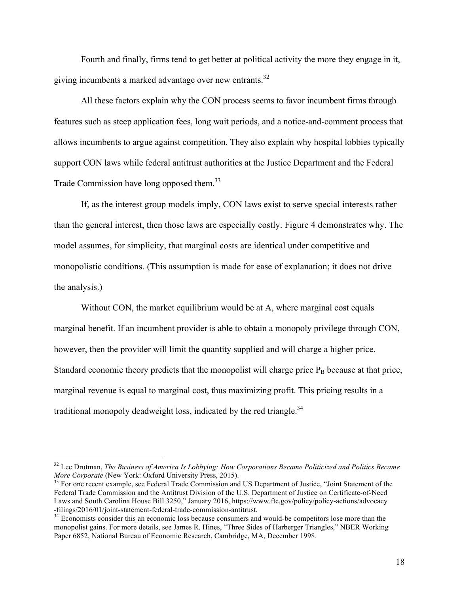Fourth and finally, firms tend to get better at political activity the more they engage in it, giving incumbents a marked advantage over new entrants.<sup>32</sup>

All these factors explain why the CON process seems to favor incumbent firms through features such as steep application fees, long wait periods, and a notice-and-comment process that allows incumbents to argue against competition. They also explain why hospital lobbies typically support CON laws while federal antitrust authorities at the Justice Department and the Federal Trade Commission have long opposed them.<sup>33</sup>

If, as the interest group models imply, CON laws exist to serve special interests rather than the general interest, then those laws are especially costly. Figure 4 demonstrates why. The model assumes, for simplicity, that marginal costs are identical under competitive and monopolistic conditions. (This assumption is made for ease of explanation; it does not drive the analysis.)

Without CON, the market equilibrium would be at A, where marginal cost equals marginal benefit. If an incumbent provider is able to obtain a monopoly privilege through CON, however, then the provider will limit the quantity supplied and will charge a higher price. Standard economic theory predicts that the monopolist will charge price  $P_B$  because at that price, marginal revenue is equal to marginal cost, thus maximizing profit. This pricing results in a traditional monopoly deadweight loss, indicated by the red triangle.<sup>34</sup>

<sup>&</sup>lt;sup>32</sup> Lee Drutman, *The Business of America Is Lobbying: How Corporations Became Politicized and Politics Became More Corporate (New York: Oxford University Press, 2015).* 

<sup>&</sup>lt;sup>33</sup> For one recent example, see Federal Trade Commission and US Department of Justice, "Joint Statement of the Federal Trade Commission and the Antitrust Division of the U.S. Department of Justice on Certificate-of-Need Laws and South Carolina House Bill 3250," January 2016, [https://www.ftc.gov/policy/policy-actions/advocacy](https://www.ftc.gov/policy/policy-actions/advocacy-filings/2016/01/joint-statement-federal-trade-commission-antitrust) [-filings/2016/01/joint-statement-federal-trade-commission-antitrust.](https://www.ftc.gov/policy/policy-actions/advocacy-filings/2016/01/joint-statement-federal-trade-commission-antitrust) <sup>34</sup> Economists consider this an economic loss because consumers and would-be competitors lose more than the

monopolist gains. For more details, see James R. Hines, "Three Sides of Harberger Triangles," NBER Working Paper 6852, National Bureau of Economic Research, Cambridge, MA, December 1998.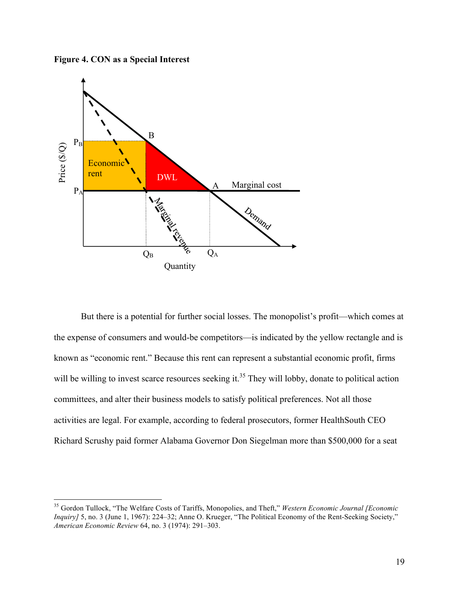**Figure 4. CON as a Special Interest**



But there is a potential for further social losses. The monopolist's profit—which comes at the expense of consumers and would-be competitors—is indicated by the yellow rectangle and is known as "economic rent." Because this rent can represent a substantial economic profit, firms will be willing to invest scarce resources seeking it.<sup>35</sup> They will lobby, donate to political action committees, and alter their business models to satisfy political preferences. Not all those activities are legal. For example, according to federal prosecutors, former HealthSouth CEO Richard Scrushy paid former Alabama Governor Don Siegelman more than \$500,000 for a seat

 <sup>35</sup> Gordon Tullock, "The Welfare Costs of Tariffs, Monopolies, and Theft," *Western Economic Journal [Economic Inquiry]* 5, no. 3 (June 1, 1967): 224–32; Anne O. Krueger, "The Political Economy of the Rent-Seeking Society," *American Economic Review* 64, no. 3 (1974): 291–303.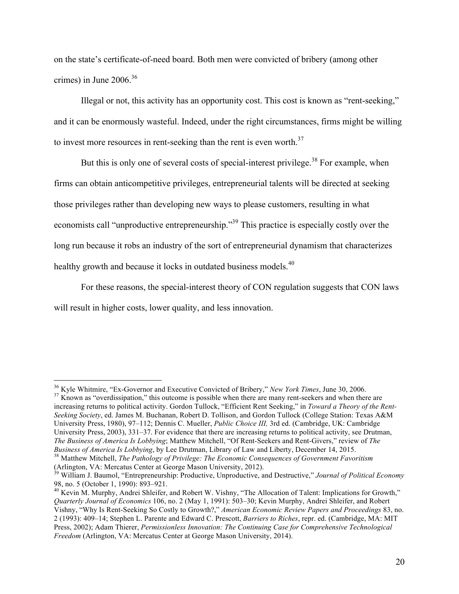on the state's certificate-of-need board. Both men were convicted of bribery (among other crimes) in June 2006.<sup>36</sup>

Illegal or not, this activity has an opportunity cost. This cost is known as "rent-seeking," and it can be enormously wasteful. Indeed, under the right circumstances, firms might be willing to invest more resources in rent-seeking than the rent is even worth.<sup>37</sup>

But this is only one of several costs of special-interest privilege.<sup>38</sup> For example, when firms can obtain anticompetitive privileges, entrepreneurial talents will be directed at seeking those privileges rather than developing new ways to please customers, resulting in what economists call "unproductive entrepreneurship."<sup>39</sup> This practice is especially costly over the long run because it robs an industry of the sort of entrepreneurial dynamism that characterizes healthy growth and because it locks in outdated business models.<sup>40</sup>

For these reasons, the special-interest theory of CON regulation suggests that CON laws will result in higher costs, lower quality, and less innovation.

increasing returns to political activity. Gordon Tullock, "Efficient Rent Seeking," in *Toward a Theory of the Rent-Seeking Society*, ed. James M. Buchanan, Robert D. Tollison, and Gordon Tullock (College Station: Texas A&M University Press, 1980), 97–112; Dennis C. Mueller, *Public Choice III,* 3rd ed. (Cambridge, UK: Cambridge University Press, 2003), 331–37. For evidence that there are increasing returns to political activity, see Drutman, *The Business of America Is Lobbying*; Matthew Mitchell, "Of Rent-Seekers and Rent-Givers," review of *The* 

<sup>&</sup>lt;sup>36</sup> Kyle Whitmire, "Ex-Governor and Executive Convicted of Bribery," *New York Times*, June 30, 2006.<br><sup>37</sup> Known as "overdissipation," this outcome is possible when there are many rent-seekers and when there are

*Business of America Is Lobbying*, by Lee Drutman, Library of Law and Liberty, December 14, 2015.<br><sup>38</sup> Matthew Mitchell, *The Pathology of Privilege: The Economic Consequences of Government Favoritism* (Arlington, VA: Merc

<sup>&</sup>lt;sup>39</sup> William J. Baumol, "Entrepreneurship: Productive, Unproductive, and Destructive," *Journal of Political Economy*<br>98, no. 5 (October 1, 1990): 893–921.

 $^{40}$  Kevin M. Murphy, Andrei Shleifer, and Robert W. Vishny, "The Allocation of Talent: Implications for Growth," *Quarterly Journal of Economics* 106, no. 2 (May 1, 1991): 503–30; Kevin Murphy, Andrei Shleifer, and Robert Vishny, "Why Is Rent-Seeking So Costly to Growth?," *American Economic Review Papers and Proceedings* 83, no. 2 (1993): 409–14; Stephen L. Parente and Edward C. Prescott, *Barriers to Riches*, repr. ed. (Cambridge, MA: MIT Press, 2002); Adam Thierer, *Permissionless Innovation: The Continuing Case for Comprehensive Technological Freedom* (Arlington, VA: Mercatus Center at George Mason University, 2014).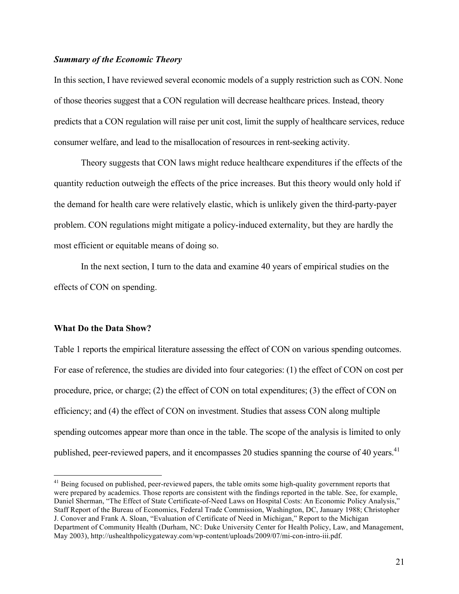### *Summary of the Economic Theory*

In this section, I have reviewed several economic models of a supply restriction such as CON. None of those theories suggest that a CON regulation will decrease healthcare prices. Instead, theory predicts that a CON regulation will raise per unit cost, limit the supply of healthcare services, reduce consumer welfare, and lead to the misallocation of resources in rent-seeking activity.

Theory suggests that CON laws might reduce healthcare expenditures if the effects of the quantity reduction outweigh the effects of the price increases. But this theory would only hold if the demand for health care were relatively elastic, which is unlikely given the third-party-payer problem. CON regulations might mitigate a policy-induced externality, but they are hardly the most efficient or equitable means of doing so.

In the next section, I turn to the data and examine 40 years of empirical studies on the effects of CON on spending.

#### **What Do the Data Show?**

Table 1 reports the empirical literature assessing the effect of CON on various spending outcomes. For ease of reference, the studies are divided into four categories: (1) the effect of CON on cost per procedure, price, or charge; (2) the effect of CON on total expenditures; (3) the effect of CON on efficiency; and (4) the effect of CON on investment. Studies that assess CON along multiple spending outcomes appear more than once in the table. The scope of the analysis is limited to only published, peer-reviewed papers, and it encompasses 20 studies spanning the course of 40 years.<sup>41</sup>

<sup>&</sup>lt;sup>41</sup> Being focused on published, peer-reviewed papers, the table omits some high-quality government reports that were prepared by academics. Those reports are consistent with the findings reported in the table. See, for example, Daniel Sherman, "The Effect of State Certificate-of-Need Laws on Hospital Costs: An Economic Policy Analysis," Staff Report of the Bureau of Economics, Federal Trade Commission, Washington, DC, January 1988; Christopher J. Conover and Frank A. Sloan, "Evaluation of Certificate of Need in Michigan," Report to the Michigan Department of Community Health (Durham, NC: Duke University Center for Health Policy, Law, and Management, May 2003), [http://ushealthpolicygateway.com/wp-content/uploads/2009/07/mi-con-intro-iii.pdf.](http://ushealthpolicygateway.com/wp-content/uploads/2009/07/mi-con-intro-iii.pdf)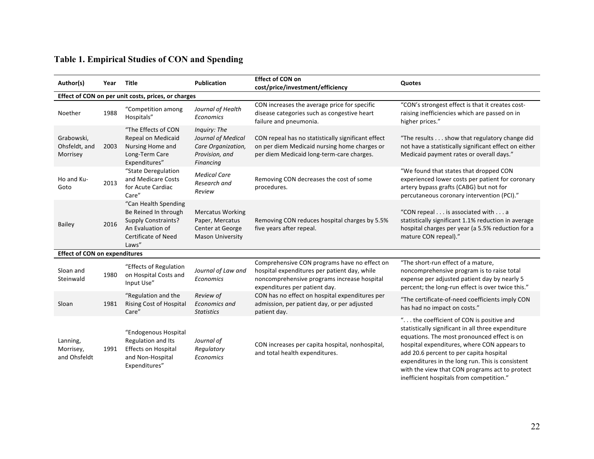# **Table 1. Empirical Studies of CON and Spending**

| Author(s)                                           | Year | Title                                                                                                                                 | <b>Publication</b>                                                                        | <b>Effect of CON on</b><br>cost/price/investment/efficiency                                                                                                                  | Quotes                                                                                                                                                                                                                                                                                                                                                                                    |  |  |  |  |
|-----------------------------------------------------|------|---------------------------------------------------------------------------------------------------------------------------------------|-------------------------------------------------------------------------------------------|------------------------------------------------------------------------------------------------------------------------------------------------------------------------------|-------------------------------------------------------------------------------------------------------------------------------------------------------------------------------------------------------------------------------------------------------------------------------------------------------------------------------------------------------------------------------------------|--|--|--|--|
| Effect of CON on per unit costs, prices, or charges |      |                                                                                                                                       |                                                                                           |                                                                                                                                                                              |                                                                                                                                                                                                                                                                                                                                                                                           |  |  |  |  |
| Noether                                             | 1988 | "Competition among<br>Hospitals"                                                                                                      | Journal of Health<br>Economics                                                            | CON increases the average price for specific<br>disease categories such as congestive heart<br>failure and pneumonia.                                                        | "CON's strongest effect is that it creates cost-<br>raising inefficiencies which are passed on in<br>higher prices."                                                                                                                                                                                                                                                                      |  |  |  |  |
| Grabowski,<br>Ohsfeldt, and<br>Morrisey             | 2003 | "The Effects of CON<br>Repeal on Medicaid<br>Nursing Home and<br>Long-Term Care<br>Expenditures"                                      | Inquiry: The<br>Journal of Medical<br>Care Organization,<br>Provision, and<br>Financing   | CON repeal has no statistically significant effect<br>on per diem Medicaid nursing home charges or<br>per diem Medicaid long-term-care charges.                              | "The results show that regulatory change did<br>not have a statistically significant effect on either<br>Medicaid payment rates or overall days."                                                                                                                                                                                                                                         |  |  |  |  |
| Ho and Ku-<br>Goto                                  | 2013 | "State Deregulation<br>and Medicare Costs<br>for Acute Cardiac<br>Care"                                                               | <b>Medical Care</b><br>Research and<br>Review                                             | Removing CON decreases the cost of some<br>procedures.                                                                                                                       | "We found that states that dropped CON<br>experienced lower costs per patient for coronary<br>artery bypass grafts (CABG) but not for<br>percutaneous coronary intervention (PCI)."                                                                                                                                                                                                       |  |  |  |  |
| <b>Bailey</b>                                       | 2016 | "Can Health Spending<br>Be Reined In through<br><b>Supply Constraints?</b><br>An Evaluation of<br><b>Certificate of Need</b><br>Laws" | <b>Mercatus Working</b><br>Paper, Mercatus<br>Center at George<br><b>Mason University</b> | Removing CON reduces hospital charges by 5.5%<br>five years after repeal.                                                                                                    | "CON repeal is associated with a<br>statistically significant 1.1% reduction in average<br>hospital charges per year (a 5.5% reduction for a<br>mature CON repeal)."                                                                                                                                                                                                                      |  |  |  |  |
| <b>Effect of CON on expenditures</b>                |      |                                                                                                                                       |                                                                                           |                                                                                                                                                                              |                                                                                                                                                                                                                                                                                                                                                                                           |  |  |  |  |
| Sloan and<br>Steinwald                              | 1980 | "Effects of Regulation<br>on Hospital Costs and<br>Input Use"                                                                         | Journal of Law and<br>Economics                                                           | Comprehensive CON programs have no effect on<br>hospital expenditures per patient day, while<br>noncomprehensive programs increase hospital<br>expenditures per patient day. | "The short-run effect of a mature,<br>noncomprehensive program is to raise total<br>expense per adjusted patient day by nearly 5<br>percent; the long-run effect is over twice this."                                                                                                                                                                                                     |  |  |  |  |
| Sloan                                               | 1981 | "Regulation and the<br>Rising Cost of Hospital<br>Care"                                                                               | Review of<br><b>Economics and</b><br><b>Statistics</b>                                    | CON has no effect on hospital expenditures per<br>admission, per patient day, or per adjusted<br>patient day.                                                                | "The certificate-of-need coefficients imply CON<br>has had no impact on costs."                                                                                                                                                                                                                                                                                                           |  |  |  |  |
| Lanning,<br>Morrisey,<br>and Ohsfeldt               | 1991 | "Endogenous Hospital<br>Regulation and Its<br><b>Effects on Hospital</b><br>and Non-Hospital<br>Expenditures"                         | Journal of<br>Regulatory<br>Economics                                                     | CON increases per capita hospital, nonhospital,<br>and total health expenditures.                                                                                            | " the coefficient of CON is positive and<br>statistically significant in all three expenditure<br>equations. The most pronounced effect is on<br>hospital expenditures, where CON appears to<br>add 20.6 percent to per capita hospital<br>expenditures in the long run. This is consistent<br>with the view that CON programs act to protect<br>inefficient hospitals from competition." |  |  |  |  |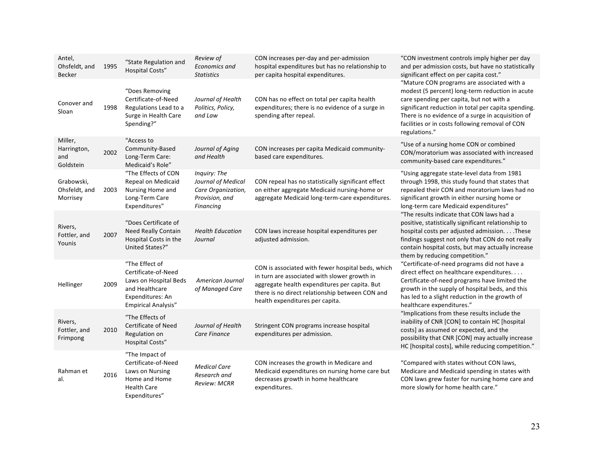| Antel,<br>Ohsfeldt, and<br><b>Becker</b>   | 1995 | "State Regulation and<br><b>Hospital Costs"</b>                                                                                    | Review of<br>Economics and<br><b>Statistics</b>                                         | CON increases per-day and per-admission<br>hospital expenditures but has no relationship to<br>per capita hospital expenditures.                                                                                                         | "CON investment controls imply higher per day<br>and per admission costs, but have no statistically<br>significant effect on per capita cost."                                                                                                                                                                            |
|--------------------------------------------|------|------------------------------------------------------------------------------------------------------------------------------------|-----------------------------------------------------------------------------------------|------------------------------------------------------------------------------------------------------------------------------------------------------------------------------------------------------------------------------------------|---------------------------------------------------------------------------------------------------------------------------------------------------------------------------------------------------------------------------------------------------------------------------------------------------------------------------|
| Conover and<br>Sloan                       | 1998 | "Does Removing<br>Certificate-of-Need<br>Regulations Lead to a<br>Surge in Health Care<br>Spending?"                               | Journal of Health<br>Politics, Policy,<br>and Law                                       | CON has no effect on total per capita health<br>expenditures; there is no evidence of a surge in<br>spending after repeal.                                                                                                               | "Mature CON programs are associated with a<br>modest (5 percent) long-term reduction in acute<br>care spending per capita, but not with a<br>significant reduction in total per capita spending.<br>There is no evidence of a surge in acquisition of<br>facilities or in costs following removal of CON<br>regulations." |
| Miller,<br>Harrington,<br>and<br>Goldstein | 2002 | "Access to<br>Community-Based<br>Long-Term Care:<br>Medicaid's Role"                                                               | Journal of Aging<br>and Health                                                          | CON increases per capita Medicaid community-<br>based care expenditures.                                                                                                                                                                 | "Use of a nursing home CON or combined<br>CON/moratorium was associated with increased<br>community-based care expenditures."                                                                                                                                                                                             |
| Grabowski,<br>Ohsfeldt, and<br>Morrisey    | 2003 | "The Effects of CON<br>Repeal on Medicaid<br>Nursing Home and<br>Long-Term Care<br>Expenditures"                                   | Inquiry: The<br>Journal of Medical<br>Care Organization,<br>Provision, and<br>Financing | CON repeal has no statistically significant effect<br>on either aggregate Medicaid nursing-home or<br>aggregate Medicaid long-term-care expenditures.                                                                                    | "Using aggregate state-level data from 1981<br>through 1998, this study found that states that<br>repealed their CON and moratorium laws had no<br>significant growth in either nursing home or<br>long-term care Medicaid expenditures"                                                                                  |
| Rivers,<br>Fottler, and<br>Younis          | 2007 | "Does Certificate of<br><b>Need Really Contain</b><br>Hospital Costs in the<br>United States?"                                     | <b>Health Education</b><br>Journal                                                      | CON laws increase hospital expenditures per<br>adjusted admission.                                                                                                                                                                       | "The results indicate that CON laws had a<br>positive, statistically significant relationship to<br>hospital costs per adjusted admission. These<br>findings suggest not only that CON do not really<br>contain hospital costs, but may actually increase<br>them by reducing competition."                               |
| Hellinger                                  | 2009 | "The Effect of<br>Certificate-of-Need<br>Laws on Hospital Beds<br>and Healthcare<br>Expenditures: An<br><b>Empirical Analysis"</b> | American Journal<br>of Managed Care                                                     | CON is associated with fewer hospital beds, which<br>in turn are associated with slower growth in<br>aggregate health expenditures per capita. But<br>there is no direct relationship between CON and<br>health expenditures per capita. | "Certificate-of-need programs did not have a<br>direct effect on healthcare expenditures.<br>Certificate-of-need programs have limited the<br>growth in the supply of hospital beds, and this<br>has led to a slight reduction in the growth of<br>healthcare expenditures."                                              |
| Rivers,<br>Fottler, and<br>Frimpong        | 2010 | "The Effects of<br><b>Certificate of Need</b><br>Regulation on<br>Hospital Costs"                                                  | Journal of Health<br>Care Finance                                                       | Stringent CON programs increase hospital<br>expenditures per admission.                                                                                                                                                                  | "Implications from these results include the<br>inability of CNR [CON] to contain HC [hospital<br>costs] as assumed or expected, and the<br>possibility that CNR [CON] may actually increase<br>HC [hospital costs], while reducing competition."                                                                         |
| Rahman et<br>al.                           | 2016 | "The Impact of<br>Certificate-of-Need<br>Laws on Nursing<br>Home and Home<br><b>Health Care</b><br>Expenditures"                   | <b>Medical Care</b><br>Research and<br><b>Review: MCRR</b>                              | CON increases the growth in Medicare and<br>Medicaid expenditures on nursing home care but<br>decreases growth in home healthcare<br>expenditures.                                                                                       | "Compared with states without CON laws,<br>Medicare and Medicaid spending in states with<br>CON laws grew faster for nursing home care and<br>more slowly for home health care."                                                                                                                                          |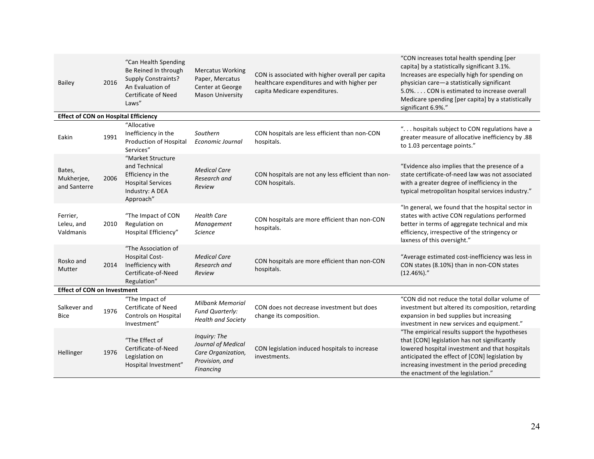| <b>Bailey</b>                               | 2016 | "Can Health Spending<br>Be Reined In through<br><b>Supply Constraints?</b><br>An Evaluation of<br>Certificate of Need<br>Laws" | <b>Mercatus Working</b><br>Paper, Mercatus<br>Center at George<br><b>Mason University</b> | CON is associated with higher overall per capita<br>healthcare expenditures and with higher per<br>capita Medicare expenditures. | "CON increases total health spending [per<br>capita] by a statistically significant 3.1%.<br>Increases are especially high for spending on<br>physician care-a statistically significant<br>5.0% CON is estimated to increase overall<br>Medicare spending [per capita] by a statistically<br>significant 6.9%." |  |  |  |  |  |
|---------------------------------------------|------|--------------------------------------------------------------------------------------------------------------------------------|-------------------------------------------------------------------------------------------|----------------------------------------------------------------------------------------------------------------------------------|------------------------------------------------------------------------------------------------------------------------------------------------------------------------------------------------------------------------------------------------------------------------------------------------------------------|--|--|--|--|--|
| <b>Effect of CON on Hospital Efficiency</b> |      |                                                                                                                                |                                                                                           |                                                                                                                                  |                                                                                                                                                                                                                                                                                                                  |  |  |  |  |  |
| Eakin                                       | 1991 | "Allocative<br>Inefficiency in the<br>Production of Hospital<br>Services"                                                      | Southern<br>Economic Journal                                                              | CON hospitals are less efficient than non-CON<br>hospitals.                                                                      | " hospitals subject to CON regulations have a<br>greater measure of allocative inefficiency by .88<br>to 1.03 percentage points."                                                                                                                                                                                |  |  |  |  |  |
| Bates,<br>Mukherjee,<br>and Santerre        | 2006 | "Market Structure<br>and Technical<br>Efficiency in the<br><b>Hospital Services</b><br>Industry: A DEA<br>Approach"            | <b>Medical Care</b><br>Research and<br>Review                                             | CON hospitals are not any less efficient than non-<br>CON hospitals.                                                             | "Evidence also implies that the presence of a<br>state certificate-of-need law was not associated<br>with a greater degree of inefficiency in the<br>typical metropolitan hospital services industry."                                                                                                           |  |  |  |  |  |
| Ferrier,<br>Leleu, and<br>Valdmanis         | 2010 | "The Impact of CON<br>Regulation on<br>Hospital Efficiency"                                                                    | <b>Health Care</b><br>Management<br><b>Science</b>                                        | CON hospitals are more efficient than non-CON<br>hospitals.                                                                      | "In general, we found that the hospital sector in<br>states with active CON regulations performed<br>better in terms of aggregate technical and mix<br>efficiency, irrespective of the stringency or<br>laxness of this oversight."                                                                              |  |  |  |  |  |
| Rosko and<br>Mutter                         | 2014 | "The Association of<br><b>Hospital Cost-</b><br>Inefficiency with<br>Certificate-of-Need<br>Regulation"                        | <b>Medical Care</b><br>Research and<br>Review                                             | CON hospitals are more efficient than non-CON<br>hospitals.                                                                      | "Average estimated cost-inefficiency was less in<br>CON states (8.10%) than in non-CON states<br>$(12.46\%).$                                                                                                                                                                                                    |  |  |  |  |  |
| <b>Effect of CON on Investment</b>          |      |                                                                                                                                |                                                                                           |                                                                                                                                  |                                                                                                                                                                                                                                                                                                                  |  |  |  |  |  |
| Salkever and<br>Bice                        | 1976 | "The Impact of<br><b>Certificate of Need</b><br><b>Controls on Hospital</b><br>Investment"                                     | <b>Milbank Memorial</b><br><b>Fund Quarterly:</b><br><b>Health and Society</b>            | CON does not decrease investment but does<br>change its composition.                                                             | "CON did not reduce the total dollar volume of<br>investment but altered its composition, retarding<br>expansion in bed supplies but increasing<br>investment in new services and equipment."                                                                                                                    |  |  |  |  |  |
| Hellinger                                   | 1976 | "The Effect of<br>Certificate-of-Need<br>Legislation on<br>Hospital Investment"                                                | Inquiry: The<br>Journal of Medical<br>Care Organization,<br>Provision, and<br>Financing   | CON legislation induced hospitals to increase<br>investments.                                                                    | "The empirical results support the hypotheses<br>that [CON] legislation has not significantly<br>lowered hospital investment and that hospitals<br>anticipated the effect of [CON] legislation by<br>increasing investment in the period preceding<br>the enactment of the legislation."                         |  |  |  |  |  |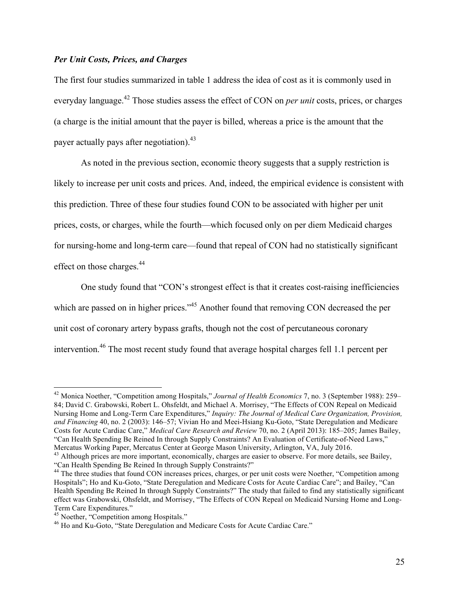### *Per Unit Costs, Prices, and Charges*

The first four studies summarized in table 1 address the idea of cost as it is commonly used in everyday language.<sup>42</sup> Those studies assess the effect of CON on *per unit* costs, prices, or charges (a charge is the initial amount that the payer is billed, whereas a price is the amount that the payer actually pays after negotiation).<sup>43</sup>

As noted in the previous section, economic theory suggests that a supply restriction is likely to increase per unit costs and prices. And, indeed, the empirical evidence is consistent with this prediction. Three of these four studies found CON to be associated with higher per unit prices, costs, or charges, while the fourth—which focused only on per diem Medicaid charges for nursing-home and long-term care—found that repeal of CON had no statistically significant effect on those charges.<sup>44</sup>

One study found that "CON's strongest effect is that it creates cost-raising inefficiencies which are passed on in higher prices."<sup>45</sup> Another found that removing CON decreased the per unit cost of coronary artery bypass grafts, though not the cost of percutaneous coronary intervention.46 The most recent study found that average hospital charges fell 1.1 percent per

 <sup>42</sup> Monica Noether, "Competition among Hospitals," *Journal of Health Economics* 7, no. 3 (September 1988): 259– 84; David C. Grabowski, Robert L. Ohsfeldt, and Michael A. Morrisey, "The Effects of CON Repeal on Medicaid Nursing Home and Long-Term Care Expenditures," *Inquiry: The Journal of Medical Care Organization, Provision, and Financing* 40, no. 2 (2003): 146–57; Vivian Ho and Meei-Hsiang Ku-Goto, "State Deregulation and Medicare Costs for Acute Cardiac Care," *Medical Care Research and Review* 70, no. 2 (April 2013): 185–205; James Bailey, "Can Health Spending Be Reined In through Supply Constraints? An Evaluation of Certificate-of-Need Laws,"

Mercatus Working Paper, Mercatus Center at George Mason University, Arlington, VA, July 2016.<br><sup>43</sup> Although prices are more important, economically, charges are easier to observe. For more details, see Bailey, "Can Health

<sup>&</sup>lt;sup>44</sup> The three studies that found CON increases prices, charges, or per unit costs were Noether, "Competition among Hospitals"; Ho and Ku-Goto, "State Deregulation and Medicare Costs for Acute Cardiac Care"; and Bailey, "Can Health Spending Be Reined In through Supply Constraints?" The study that failed to find any statistically significant effect was Grabowski, Ohsfeldt, and Morrisey, "The Effects of CON Repeal on Medicaid Nursing Home and Long-Term Care Expenditures."<br><sup>45</sup> Noether, "Competition among Hospitals."

<sup>&</sup>lt;sup>46</sup> Ho and Ku-Goto, "State Deregulation and Medicare Costs for Acute Cardiac Care."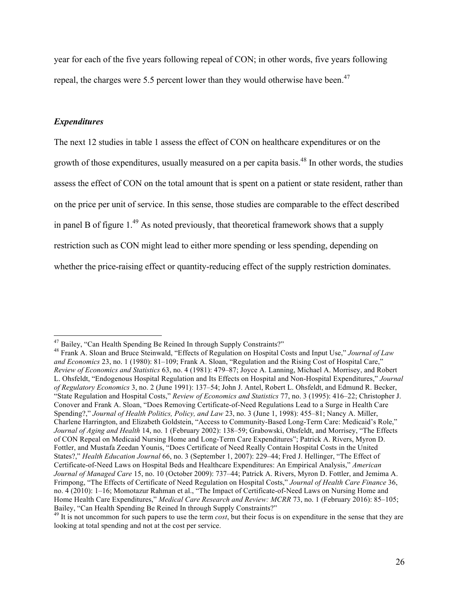year for each of the five years following repeal of CON; in other words, five years following repeal, the charges were 5.5 percent lower than they would otherwise have been.<sup>47</sup>

#### *Expenditures*

The next 12 studies in table 1 assess the effect of CON on healthcare expenditures or on the growth of those expenditures, usually measured on a per capita basis.<sup>48</sup> In other words, the studies assess the effect of CON on the total amount that is spent on a patient or state resident, rather than on the price per unit of service. In this sense, those studies are comparable to the effect described in panel B of figure  $1<sup>49</sup>$  As noted previously, that theoretical framework shows that a supply restriction such as CON might lead to either more spending or less spending, depending on whether the price-raising effect or quantity-reducing effect of the supply restriction dominates.

<sup>&</sup>lt;sup>47</sup> Bailey, "Can Health Spending Be Reined In through Supply Constraints?"<br><sup>48</sup> Frank A. Sloan and Bruce Steinwald, "Effects of Regulation on Hospital Costs and Input Use," *Journal of Law and Economics* 23, no. 1 (1980): 81–109; Frank A. Sloan, "Regulation and the Rising Cost of Hospital Care," *Review of Economics and Statistics* 63, no. 4 (1981): 479–87; Joyce A. Lanning, Michael A. Morrisey, and Robert L. Ohsfeldt, "Endogenous Hospital Regulation and Its Effects on Hospital and Non-Hospital Expenditures," *Journal of Regulatory Economics* 3, no. 2 (June 1991): 137–54; John J. Antel, Robert L. Ohsfeldt, and Edmund R. Becker, "State Regulation and Hospital Costs," *Review of Economics and Statistics* 77, no. 3 (1995): 416–22; Christopher J. Conover and Frank A. Sloan, "Does Removing Certificate-of-Need Regulations Lead to a Surge in Health Care Spending?," *Journal of Health Politics, Policy, and Law* 23, no. 3 (June 1, 1998): 455–81; Nancy A. Miller, Charlene Harrington, and Elizabeth Goldstein, "Access to Community-Based Long-Term Care: Medicaid's Role," *Journal of Aging and Health* 14, no. 1 (February 2002): 138–59; Grabowski, Ohsfeldt, and Morrisey, "The Effects of CON Repeal on Medicaid Nursing Home and Long-Term Care Expenditures"; Patrick A. Rivers, Myron D. Fottler, and Mustafa Zeedan Younis, "Does Certificate of Need Really Contain Hospital Costs in the United States?," *Health Education Journal* 66, no. 3 (September 1, 2007): 229–44; Fred J. Hellinger, "The Effect of Certificate-of-Need Laws on Hospital Beds and Healthcare Expenditures: An Empirical Analysis," *American Journal of Managed Care* 15, no. 10 (October 2009): 737–44; Patrick A. Rivers, Myron D. Fottler, and Jemima A. Frimpong, "The Effects of Certificate of Need Regulation on Hospital Costs," *Journal of Health Care Finance* 36, no. 4 (2010): 1–16; Momotazur Rahman et al., "The Impact of Certificate-of-Need Laws on Nursing Home and Home Health Care Expenditures," *Medical Care Research and Review: MCRR* 73, no. 1 (February 2016): 85–105; Bailey, "Can Health Spending Be Reined In through Supply Constraints?"

 $^{49}$  It is not uncommon for such papers to use the term *cost*, but their focus is on expenditure in the sense that they are looking at total spending and not at the cost per service.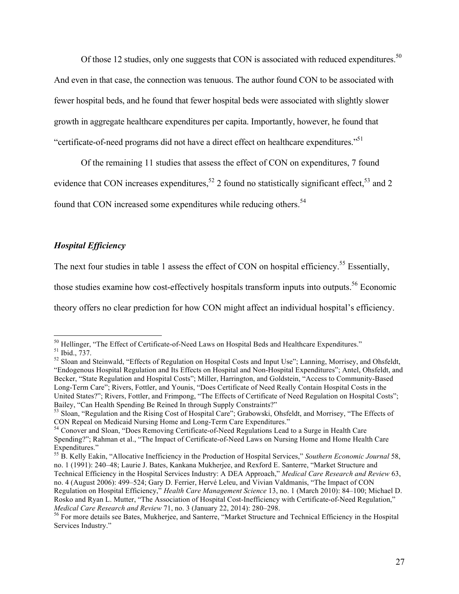Of those 12 studies, only one suggests that CON is associated with reduced expenditures.<sup>50</sup> And even in that case, the connection was tenuous. The author found CON to be associated with fewer hospital beds, and he found that fewer hospital beds were associated with slightly slower growth in aggregate healthcare expenditures per capita. Importantly, however, he found that "certificate-of-need programs did not have a direct effect on healthcare expenditures."<sup>51</sup>

Of the remaining 11 studies that assess the effect of CON on expenditures, 7 found evidence that CON increases expenditures,<sup>52</sup> 2 found no statistically significant effect,<sup>53</sup> and 2 found that CON increased some expenditures while reducing others.<sup>54</sup>

# *Hospital Efficiency*

The next four studies in table 1 assess the effect of CON on hospital efficiency.<sup>55</sup> Essentially,

those studies examine how cost-effectively hospitals transform inputs into outputs.<sup>56</sup> Economic

theory offers no clear prediction for how CON might affect an individual hospital's efficiency.

<sup>&</sup>lt;sup>50</sup> Hellinger, "The Effect of Certificate-of-Need Laws on Hospital Beds and Healthcare Expenditures."<br><sup>51</sup> Ibid., 737.<br><sup>52</sup> Sloan and Steinwald, "Effects of Regulation on Hospital Costs and Input Use"; Lanning, Morrisey,

<sup>&</sup>quot;Endogenous Hospital Regulation and Its Effects on Hospital and Non-Hospital Expenditures"; Antel, Ohsfeldt, and Becker, "State Regulation and Hospital Costs"; Miller, Harrington, and Goldstein, "Access to Community-Based Long-Term Care"; Rivers, Fottler, and Younis, "Does Certificate of Need Really Contain Hospital Costs in the United States?"; Rivers, Fottler, and Frimpong, "The Effects of Certificate of Need Regulation on Hospital Costs"; Bailey, "Can Health Spending Be Reined In through Supply Constraints?"

 $^{53}$  Sloan, "Regulation and the Rising Cost of Hospital Care"; Grabowski, Ohsfeldt, and Morrisey, "The Effects of CON Repeal on Medicaid Nursing Home and Long-Term Care Expenditures." <sup>54</sup> Conover and Sloan, "Does Removing Certificate-of-Need Regulations Lead to a Surge in Health Care

Spending?"; Rahman et al., "The Impact of Certificate-of-Need Laws on Nursing Home and Home Health Care Expenditures."

<sup>55</sup> B. Kelly Eakin, "Allocative Inefficiency in the Production of Hospital Services," *Southern Economic Journal* 58, no. 1 (1991): 240–48; Laurie J. Bates, Kankana Mukherjee, and Rexford E. Santerre, "Market Structure and Technical Efficiency in the Hospital Services Industry: A DEA Approach," *Medical Care Research and Review* 63, no. 4 (August 2006): 499–524; Gary D. Ferrier, Hervé Leleu, and Vivian Valdmanis, "The Impact of CON Regulation on Hospital Efficiency," *Health Care Management Science* 13, no. 1 (March 2010): 84–100; Michael D. Rosko and Ryan L. Mutter, "The Association of Hospital Cost-Inefficiency with Certificate-of-Need Regulation,"<br>Medical Care Research and Review 71, no. 3 (January 22, 2014): 280–298.

<sup>&</sup>lt;sup>56</sup> For more details see Bates, Mukherjee, and Santerre, "Market Structure and Technical Efficiency in the Hospital Services Industry."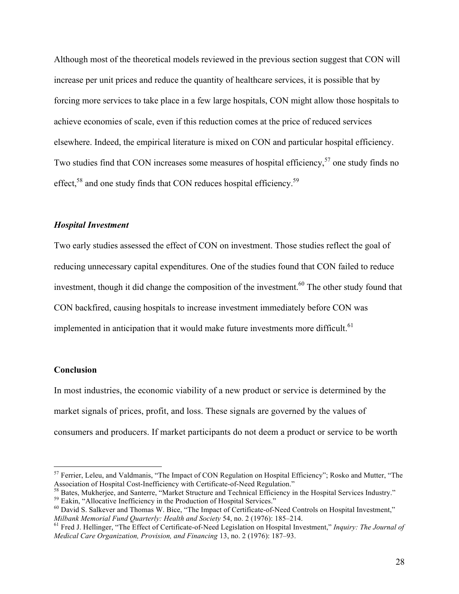Although most of the theoretical models reviewed in the previous section suggest that CON will increase per unit prices and reduce the quantity of healthcare services, it is possible that by forcing more services to take place in a few large hospitals, CON might allow those hospitals to achieve economies of scale, even if this reduction comes at the price of reduced services elsewhere. Indeed, the empirical literature is mixed on CON and particular hospital efficiency. Two studies find that CON increases some measures of hospital efficiency,<sup>57</sup> one study finds no effect,<sup>58</sup> and one study finds that CON reduces hospital efficiency.<sup>59</sup>

### *Hospital Investment*

Two early studies assessed the effect of CON on investment. Those studies reflect the goal of reducing unnecessary capital expenditures. One of the studies found that CON failed to reduce investment, though it did change the composition of the investment.<sup>60</sup> The other study found that CON backfired, causing hospitals to increase investment immediately before CON was implemented in anticipation that it would make future investments more difficult. $61$ 

#### **Conclusion**

In most industries, the economic viability of a new product or service is determined by the market signals of prices, profit, and loss. These signals are governed by the values of consumers and producers. If market participants do not deem a product or service to be worth

 $57$  Ferrier, Leleu, and Valdmanis, "The Impact of CON Regulation on Hospital Efficiency"; Rosko and Mutter, "The Association of Hospital Cost-Inefficiency with Certificate-of-Need Regulation."

<sup>&</sup>lt;sup>58</sup> Bates, Mukherjee, and Santerre, "Market Structure and Technical Efficiency in the Hospital Services Industry."<br><sup>59</sup> Eakin, "Allocative Inefficiency in the Production of Hospital Services."<br><sup>60</sup> David S. Salkever and

<sup>&</sup>lt;sup>61</sup> Fred J. Hellinger, "The Effect of Certificate-of-Need Legislation on Hospital Investment," *Inquiry: The Journal of Medical Care Organization, Provision, and Financing* 13, no. 2 (1976): 187–93.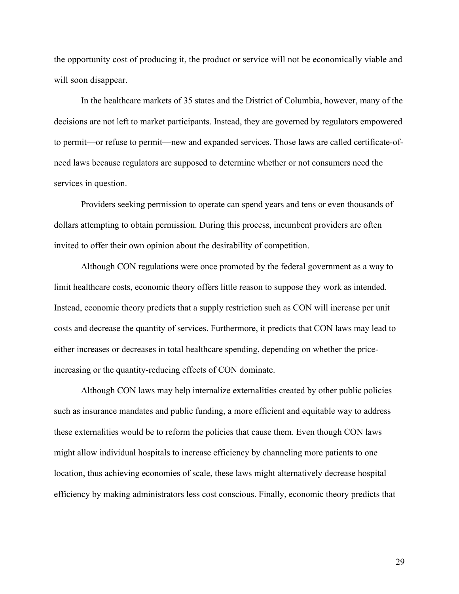the opportunity cost of producing it, the product or service will not be economically viable and will soon disappear.

In the healthcare markets of 35 states and the District of Columbia, however, many of the decisions are not left to market participants. Instead, they are governed by regulators empowered to permit—or refuse to permit—new and expanded services. Those laws are called certificate-ofneed laws because regulators are supposed to determine whether or not consumers need the services in question.

Providers seeking permission to operate can spend years and tens or even thousands of dollars attempting to obtain permission. During this process, incumbent providers are often invited to offer their own opinion about the desirability of competition.

Although CON regulations were once promoted by the federal government as a way to limit healthcare costs, economic theory offers little reason to suppose they work as intended. Instead, economic theory predicts that a supply restriction such as CON will increase per unit costs and decrease the quantity of services. Furthermore, it predicts that CON laws may lead to either increases or decreases in total healthcare spending, depending on whether the priceincreasing or the quantity-reducing effects of CON dominate.

Although CON laws may help internalize externalities created by other public policies such as insurance mandates and public funding, a more efficient and equitable way to address these externalities would be to reform the policies that cause them. Even though CON laws might allow individual hospitals to increase efficiency by channeling more patients to one location, thus achieving economies of scale, these laws might alternatively decrease hospital efficiency by making administrators less cost conscious. Finally, economic theory predicts that